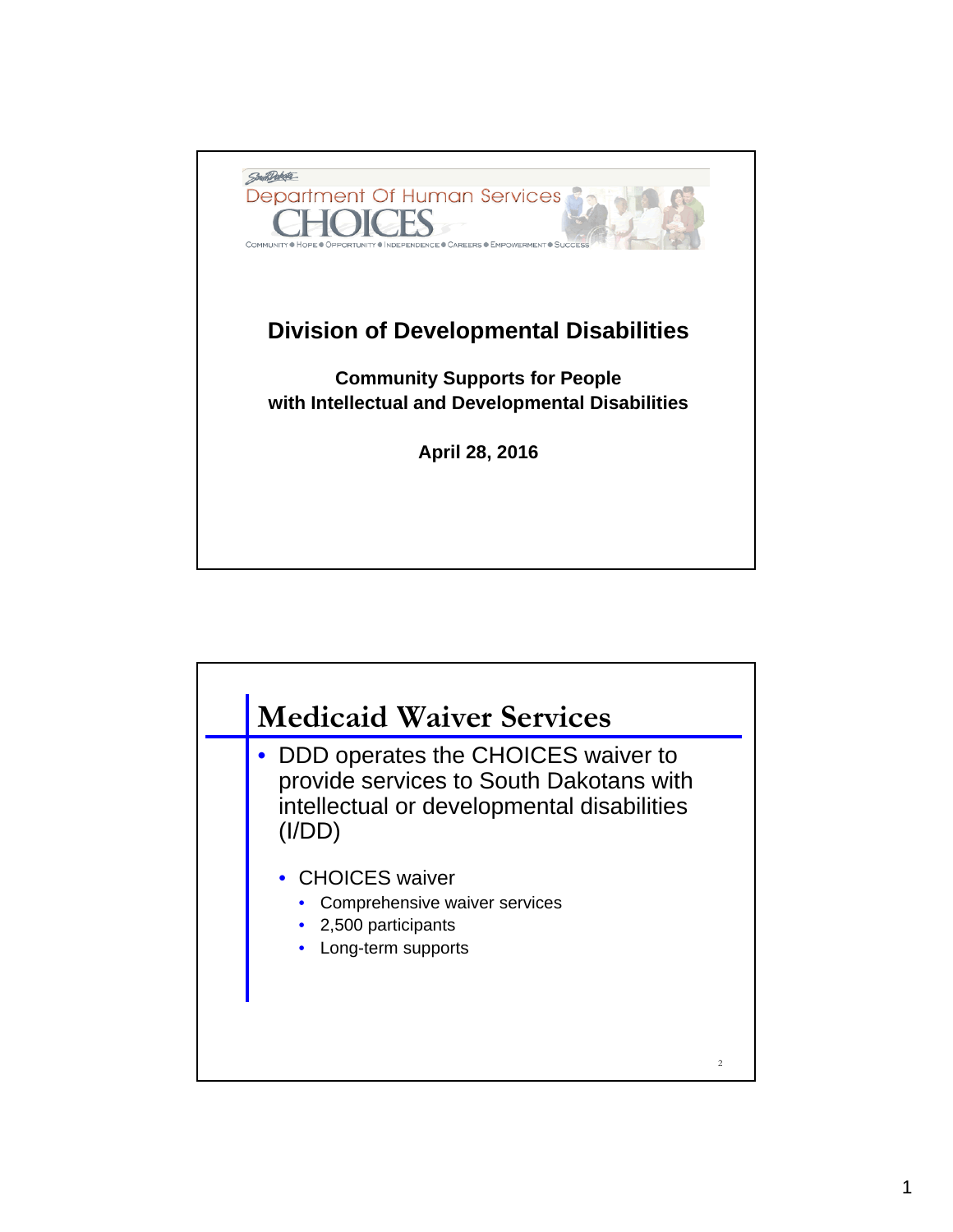

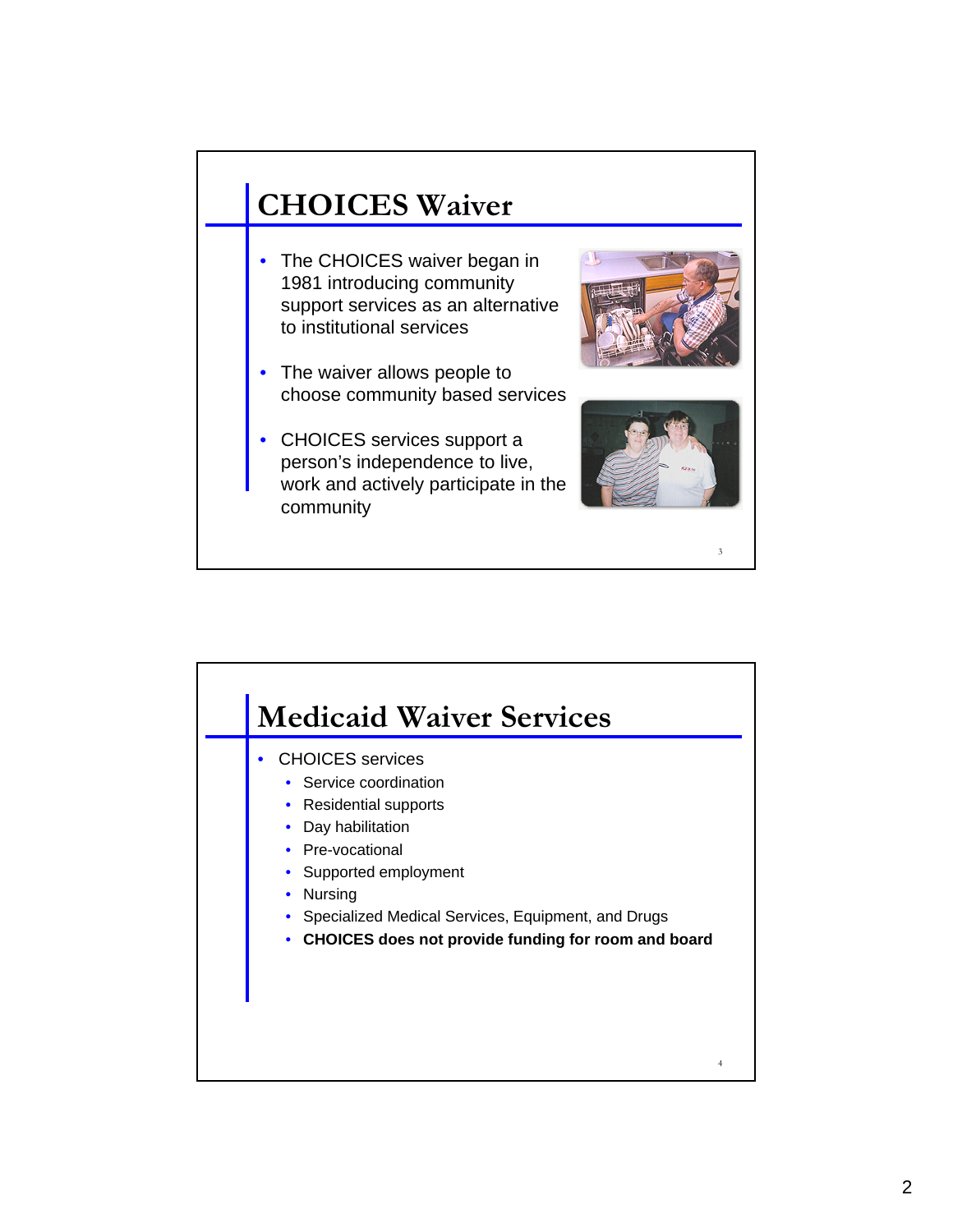## **CHOICES Waiver**

- The CHOICES waiver began in 1981 introducing community support services as an alternative to institutional services
- The waiver allows people to choose community based services
- CHOICES services support a person's independence to live, work and actively participate in the community





3

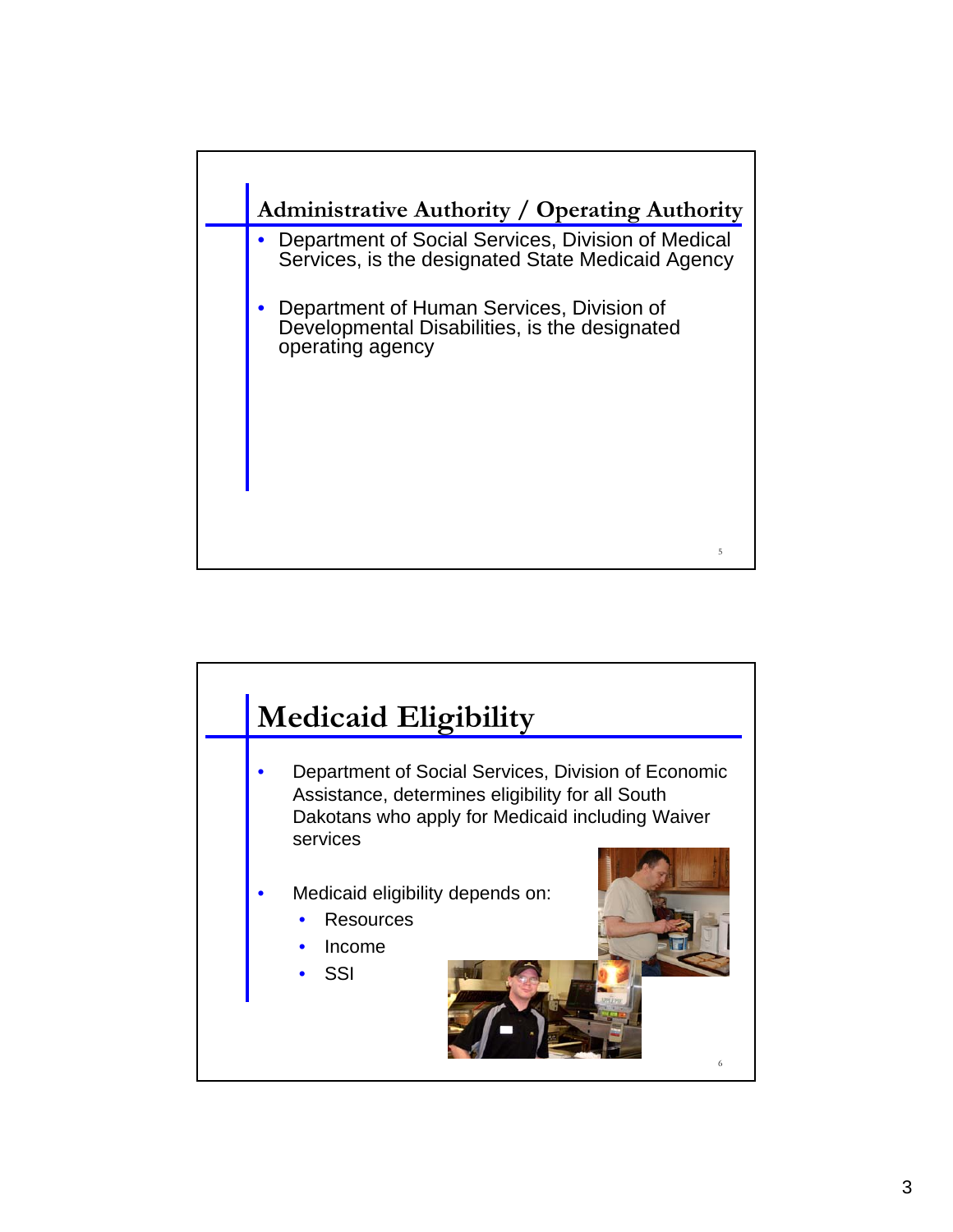

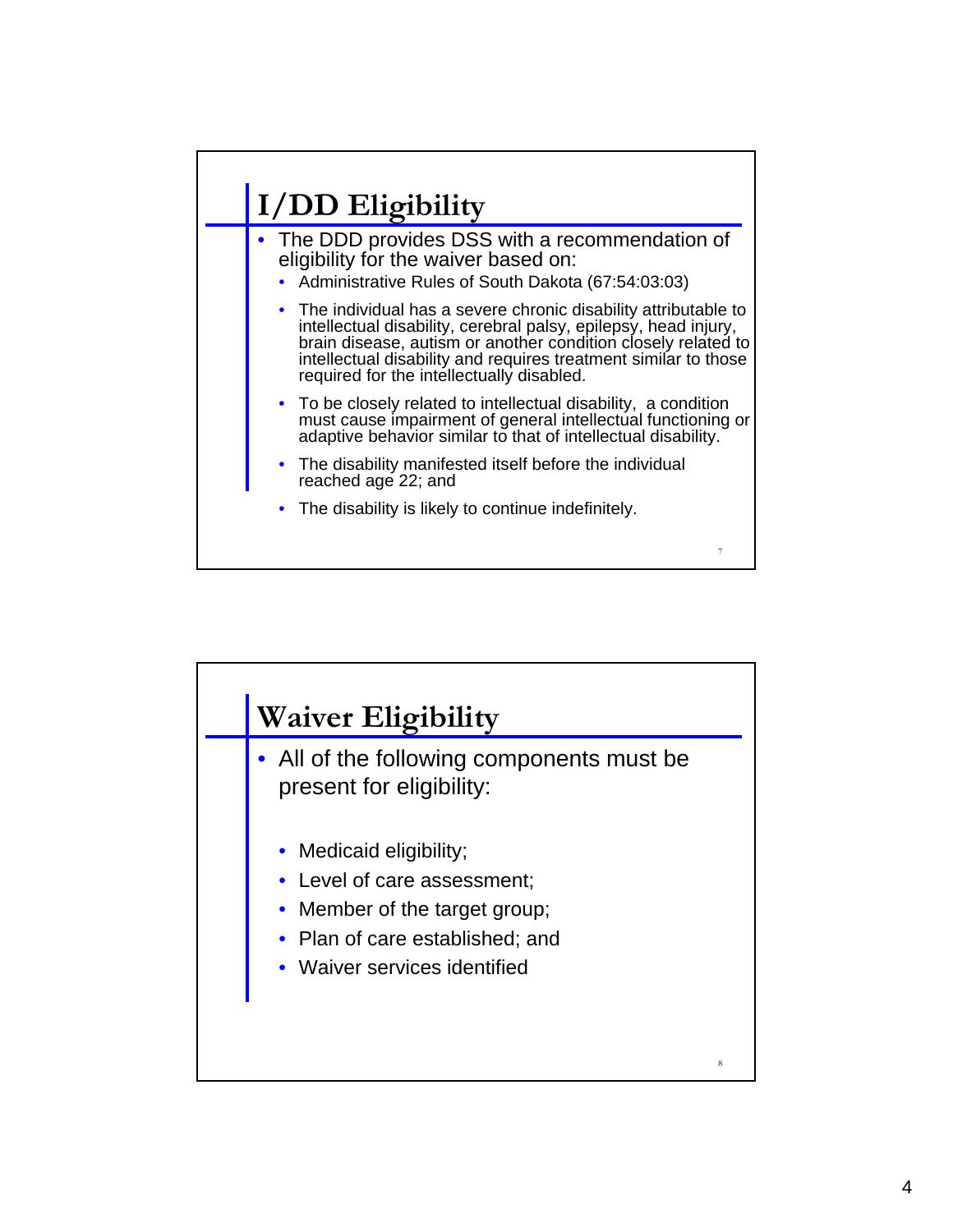## **I/DD Eligibility**

- The DDD provides DSS with a recommendation of eligibility for the waiver based on:
	- Administrative Rules of South Dakota (67:54:03:03)
	- The individual has a severe chronic disability attributable to intellectual disability, cerebral palsy, epilepsy, head injury, brain disease, autism or another condition closely related to intellectual disability and requires treatment similar to those required for the intellectually disabled.
	- To be closely related to intellectual disability, a condition must cause impairment of general intellectual functioning or adaptive behavior similar to that of intellectual disability.

7

- The disability manifested itself before the individual reached age 22; and
- The disability is likely to continue indefinitely.

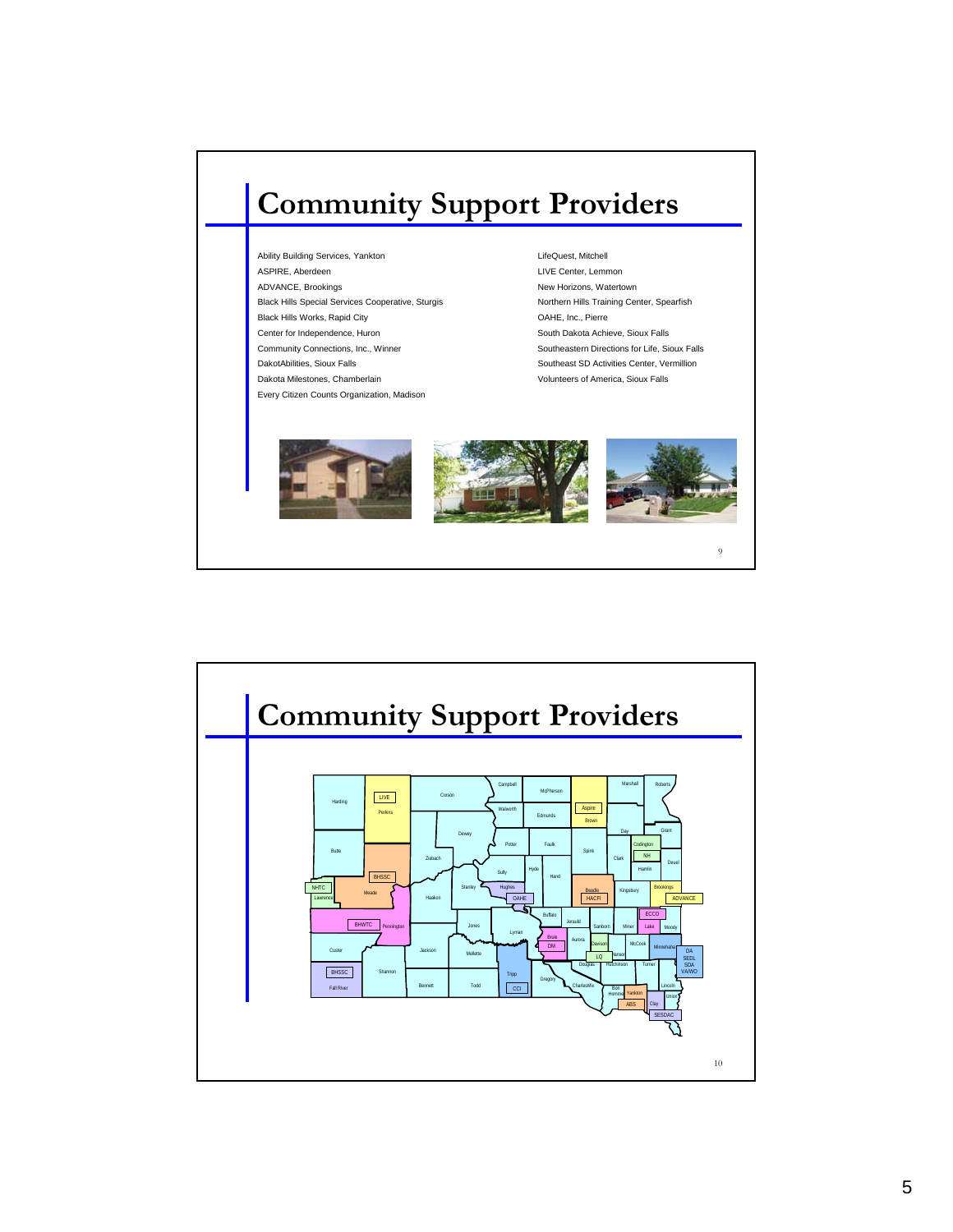## **Community Support Providers**

Ability Building Services, Yankton **LifeQuest, Mitchell** ASPIRE, Aberdeen **LIVE Center, Lemmon** ADVANCE, Brookings New Horizons, Watertown Black Hills Special Services Cooperative, Sturgis Northern Hills Training Center, Spearfish Black Hills Works, Rapid City **Canadian Control of Case Control Case Control of Case Control of Case Control of Case Control of Case Control of Case Control of Case Control of Case Control of Case Control of Case Control o** Center for Independence, Huron South Dakota Achieve, Sioux Falls Community Connections, Inc., Winner Southeastern Directions for Life, Sioux Falls DakotAbilities, Sioux Falls Southeast SD Activities Center, Vermillion Dakota Milestones, Chamberlain volunteers of America, Sioux Falls Every Citizen Counts Organization, Madison